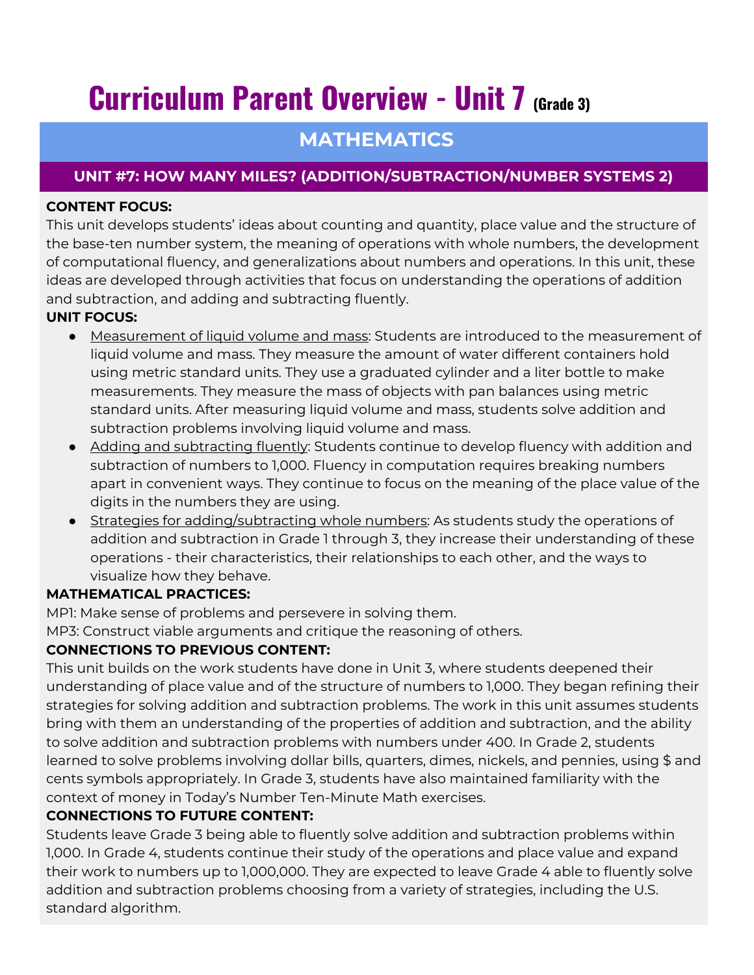# **Curriculum Parent Overview - Unit 7 (Grade 3)**

## **MATHEMATICS**

### **UNIT #7: HOW MANY MILES? (ADDITION/SUBTRACTION/NUMBER SYSTEMS 2)**

#### **CONTENT FOCUS:**

This unit develops students' ideas about counting and quantity, place value and the structure of the base-ten number system, the meaning of operations with whole numbers, the development of computational fluency, and generalizations about numbers and operations. In this unit, these ideas are developed through activities that focus on understanding the operations of addition and subtraction, and adding and subtracting fluently.

#### **UNIT FOCUS:**

- Measurement of liquid volume and mass: Students are introduced to the measurement of liquid volume and mass. They measure the amount of water different containers hold using metric standard units. They use a graduated cylinder and a liter bottle to make measurements. They measure the mass of objects with pan balances using metric standard units. After measuring liquid volume and mass, students solve addition and subtraction problems involving liquid volume and mass.
- Adding and subtracting fluently: Students continue to develop fluency with addition and subtraction of numbers to 1,000. Fluency in computation requires breaking numbers apart in convenient ways. They continue to focus on the meaning of the place value of the digits in the numbers they are using.
- **•** Strategies for adding/subtracting whole numbers: As students study the operations of addition and subtraction in Grade 1 through 3, they increase their understanding of these operations - their characteristics, their relationships to each other, and the ways to visualize how they behave.

#### **MATHEMATICAL PRACTICES:**

MP1: Make sense of problems and persevere in solving them.

MP3: Construct viable arguments and critique the reasoning of others.

#### **CONNECTIONS TO PREVIOUS CONTENT:**

This unit builds on the work students have done in Unit 3, where students deepened their understanding of place value and of the structure of numbers to 1,000. They began refining their strategies for solving addition and subtraction problems. The work in this unit assumes students bring with them an understanding of the properties of addition and subtraction, and the ability to solve addition and subtraction problems with numbers under 400. In Grade 2, students learned to solve problems involving dollar bills, quarters, dimes, nickels, and pennies, using \$ and cents symbols appropriately. In Grade 3, students have also maintained familiarity with the context of money in Today's Number Ten-Minute Math exercises.

#### **CONNECTIONS TO FUTURE CONTENT:**

Students leave Grade 3 being able to fluently solve addition and subtraction problems within 1,000. In Grade 4, students continue their study of the operations and place value and expand their work to numbers up to 1,000,000. They are expected to leave Grade 4 able to fluently solve addition and subtraction problems choosing from a variety of strategies, including the U.S. standard algorithm.